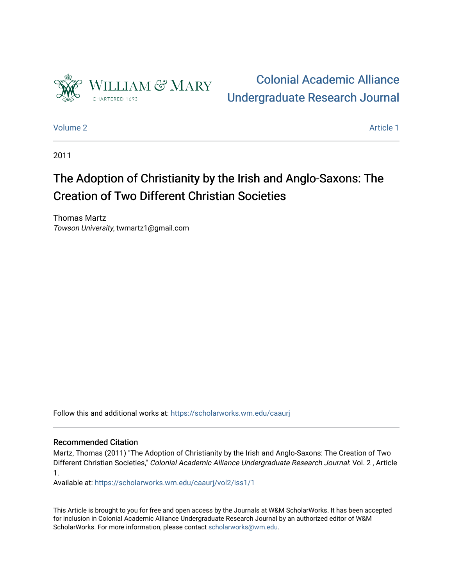

[Colonial Academic Alliance](https://scholarworks.wm.edu/caaurj)  [Undergraduate Research Journal](https://scholarworks.wm.edu/caaurj) 

[Volume 2](https://scholarworks.wm.edu/caaurj/vol2) Article 1

2011

## The Adoption of Christianity by the Irish and Anglo-Saxons: The Creation of Two Different Christian Societies

Thomas Martz Towson University, twmartz1@gmail.com

Follow this and additional works at: [https://scholarworks.wm.edu/caaurj](https://scholarworks.wm.edu/caaurj?utm_source=scholarworks.wm.edu%2Fcaaurj%2Fvol2%2Fiss1%2F1&utm_medium=PDF&utm_campaign=PDFCoverPages) 

## Recommended Citation

Martz, Thomas (2011) "The Adoption of Christianity by the Irish and Anglo-Saxons: The Creation of Two Different Christian Societies," Colonial Academic Alliance Undergraduate Research Journal: Vol. 2 , Article 1.

Available at: [https://scholarworks.wm.edu/caaurj/vol2/iss1/1](https://scholarworks.wm.edu/caaurj/vol2/iss1/1?utm_source=scholarworks.wm.edu%2Fcaaurj%2Fvol2%2Fiss1%2F1&utm_medium=PDF&utm_campaign=PDFCoverPages) 

This Article is brought to you for free and open access by the Journals at W&M ScholarWorks. It has been accepted for inclusion in Colonial Academic Alliance Undergraduate Research Journal by an authorized editor of W&M ScholarWorks. For more information, please contact [scholarworks@wm.edu.](mailto:scholarworks@wm.edu)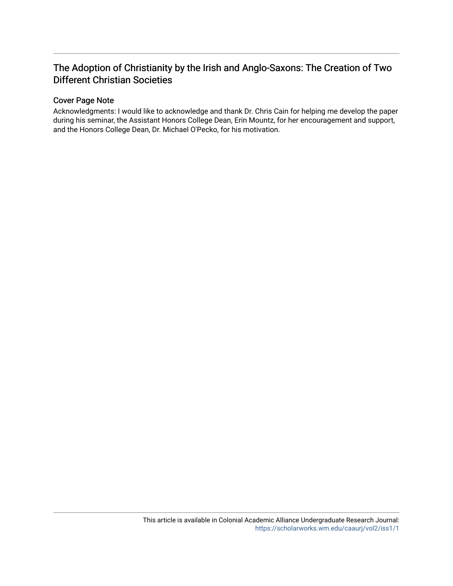## The Adoption of Christianity by the Irish and Anglo-Saxons: The Creation of Two Different Christian Societies

## Cover Page Note

Acknowledgments: I would like to acknowledge and thank Dr. Chris Cain for helping me develop the paper during his seminar, the Assistant Honors College Dean, Erin Mountz, for her encouragement and support, and the Honors College Dean, Dr. Michael O'Pecko, for his motivation.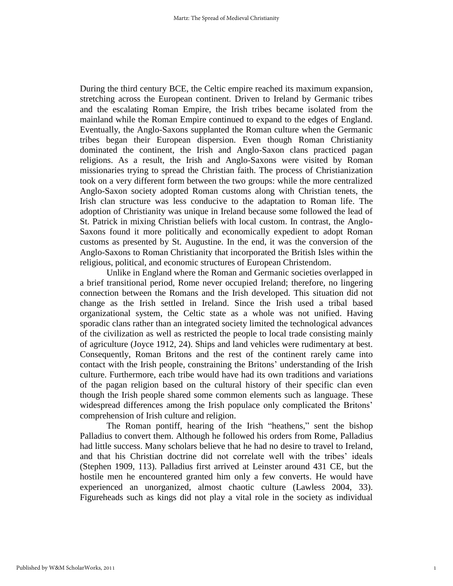During the third century BCE, the Celtic empire reached its maximum expansion, stretching across the European continent. Driven to Ireland by Germanic tribes and the escalating Roman Empire, the Irish tribes became isolated from the mainland while the Roman Empire continued to expand to the edges of England. Eventually, the Anglo-Saxons supplanted the Roman culture when the Germanic tribes began their European dispersion. Even though Roman Christianity dominated the continent, the Irish and Anglo-Saxon clans practiced pagan religions. As a result, the Irish and Anglo-Saxons were visited by Roman missionaries trying to spread the Christian faith. The process of Christianization took on a very different form between the two groups: while the more centralized Anglo-Saxon society adopted Roman customs along with Christian tenets, the Irish clan structure was less conducive to the adaptation to Roman life. The adoption of Christianity was unique in Ireland because some followed the lead of St. Patrick in mixing Christian beliefs with local custom. In contrast, the Anglo-Saxons found it more politically and economically expedient to adopt Roman customs as presented by St. Augustine. In the end, it was the conversion of the Anglo-Saxons to Roman Christianity that incorporated the British Isles within the religious, political, and economic structures of European Christendom.

Unlike in England where the Roman and Germanic societies overlapped in a brief transitional period, Rome never occupied Ireland; therefore, no lingering connection between the Romans and the Irish developed. This situation did not change as the Irish settled in Ireland. Since the Irish used a tribal based organizational system, the Celtic state as a whole was not unified. Having sporadic clans rather than an integrated society limited the technological advances of the civilization as well as restricted the people to local trade consisting mainly of agriculture (Joyce 1912, 24). Ships and land vehicles were rudimentary at best. Consequently, Roman Britons and the rest of the continent rarely came into contact with the Irish people, constraining the Britons' understanding of the Irish culture. Furthermore, each tribe would have had its own traditions and variations of the pagan religion based on the cultural history of their specific clan even though the Irish people shared some common elements such as language. These widespread differences among the Irish populace only complicated the Britons' comprehension of Irish culture and religion.

The Roman pontiff, hearing of the Irish "heathens," sent the bishop Palladius to convert them. Although he followed his orders from Rome, Palladius had little success. Many scholars believe that he had no desire to travel to Ireland, and that his Christian doctrine did not correlate well with the tribes' ideals (Stephen 1909, 113). Palladius first arrived at Leinster around 431 CE, but the hostile men he encountered granted him only a few converts. He would have experienced an unorganized, almost chaotic culture (Lawless 2004, 33). Figureheads such as kings did not play a vital role in the society as individual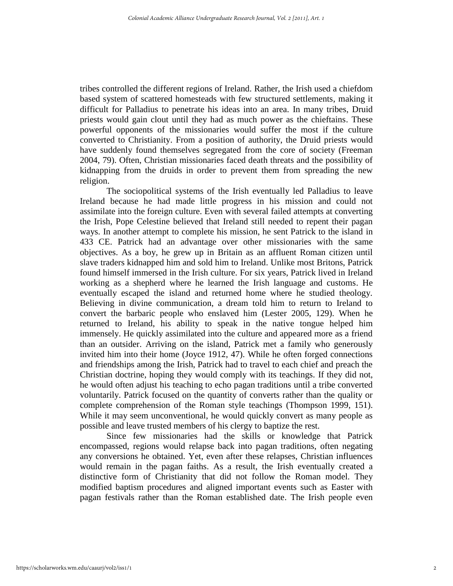tribes controlled the different regions of Ireland. Rather, the Irish used a chiefdom based system of scattered homesteads with few structured settlements, making it difficult for Palladius to penetrate his ideas into an area. In many tribes, Druid priests would gain clout until they had as much power as the chieftains. These powerful opponents of the missionaries would suffer the most if the culture converted to Christianity. From a position of authority, the Druid priests would have suddenly found themselves segregated from the core of society (Freeman 2004, 79). Often, Christian missionaries faced death threats and the possibility of kidnapping from the druids in order to prevent them from spreading the new religion.

The sociopolitical systems of the Irish eventually led Palladius to leave Ireland because he had made little progress in his mission and could not assimilate into the foreign culture. Even with several failed attempts at converting the Irish, Pope Celestine believed that Ireland still needed to repent their pagan ways. In another attempt to complete his mission, he sent Patrick to the island in 433 CE. Patrick had an advantage over other missionaries with the same objectives. As a boy, he grew up in Britain as an affluent Roman citizen until slave traders kidnapped him and sold him to Ireland. Unlike most Britons, Patrick found himself immersed in the Irish culture. For six years, Patrick lived in Ireland working as a shepherd where he learned the Irish language and customs. He eventually escaped the island and returned home where he studied theology. Believing in divine communication, a dream told him to return to Ireland to convert the barbaric people who enslaved him (Lester 2005, 129). When he returned to Ireland, his ability to speak in the native tongue helped him immensely. He quickly assimilated into the culture and appeared more as a friend than an outsider. Arriving on the island, Patrick met a family who generously invited him into their home (Joyce 1912, 47). While he often forged connections and friendships among the Irish, Patrick had to travel to each chief and preach the Christian doctrine, hoping they would comply with its teachings. If they did not, he would often adjust his teaching to echo pagan traditions until a tribe converted voluntarily. Patrick focused on the quantity of converts rather than the quality or complete comprehension of the Roman style teachings (Thompson 1999, 151). While it may seem unconventional, he would quickly convert as many people as possible and leave trusted members of his clergy to baptize the rest.

Since few missionaries had the skills or knowledge that Patrick encompassed, regions would relapse back into pagan traditions, often negating any conversions he obtained. Yet, even after these relapses, Christian influences would remain in the pagan faiths. As a result, the Irish eventually created a distinctive form of Christianity that did not follow the Roman model. They modified baptism procedures and aligned important events such as Easter with pagan festivals rather than the Roman established date. The Irish people even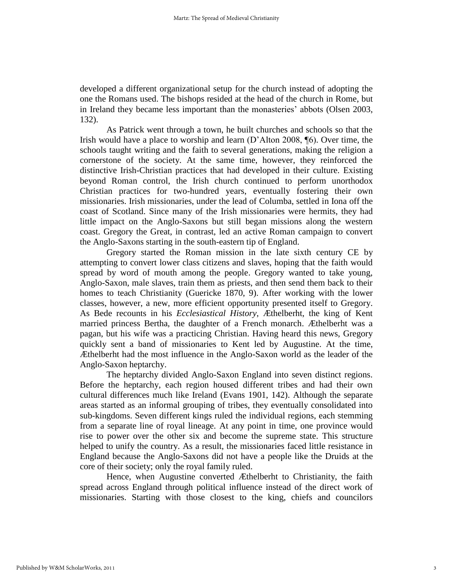developed a different organizational setup for the church instead of adopting the one the Romans used. The bishops resided at the head of the church in Rome, but in Ireland they became less important than the monasteries' abbots (Olsen 2003, 132).

As Patrick went through a town, he built churches and schools so that the Irish would have a place to worship and learn (D'Alton 2008, ¶6). Over time, the schools taught writing and the faith to several generations, making the religion a cornerstone of the society. At the same time, however, they reinforced the distinctive Irish-Christian practices that had developed in their culture. Existing beyond Roman control, the Irish church continued to perform unorthodox Christian practices for two-hundred years, eventually fostering their own missionaries. Irish missionaries, under the lead of Columba, settled in Iona off the coast of Scotland. Since many of the Irish missionaries were hermits, they had little impact on the Anglo-Saxons but still began missions along the western coast. Gregory the Great, in contrast, led an active Roman campaign to convert the Anglo-Saxons starting in the south-eastern tip of England.

Gregory started the Roman mission in the late sixth century CE by attempting to convert lower class citizens and slaves, hoping that the faith would spread by word of mouth among the people. Gregory wanted to take young, Anglo-Saxon, male slaves, train them as priests, and then send them back to their homes to teach Christianity (Guericke 1870, 9). After working with the lower classes, however, a new, more efficient opportunity presented itself to Gregory. As Bede recounts in his *Ecclesiastical History*, Æthelberht, the king of Kent married princess Bertha, the daughter of a French monarch. Æthelberht was a pagan, but his wife was a practicing Christian. Having heard this news, Gregory quickly sent a band of missionaries to Kent led by Augustine. At the time, Æthelberht had the most influence in the Anglo-Saxon world as the leader of the Anglo-Saxon heptarchy.

The heptarchy divided Anglo-Saxon England into seven distinct regions. Before the heptarchy, each region housed different tribes and had their own cultural differences much like Ireland (Evans 1901, 142). Although the separate areas started as an informal grouping of tribes, they eventually consolidated into sub-kingdoms. Seven different kings ruled the individual regions, each stemming from a separate line of royal lineage. At any point in time, one province would rise to power over the other six and become the supreme state. This structure helped to unify the country. As a result, the missionaries faced little resistance in England because the Anglo-Saxons did not have a people like the Druids at the core of their society; only the royal family ruled.

Hence, when Augustine converted Æthelberht to Christianity, the faith spread across England through political influence instead of the direct work of missionaries. Starting with those closest to the king, chiefs and councilors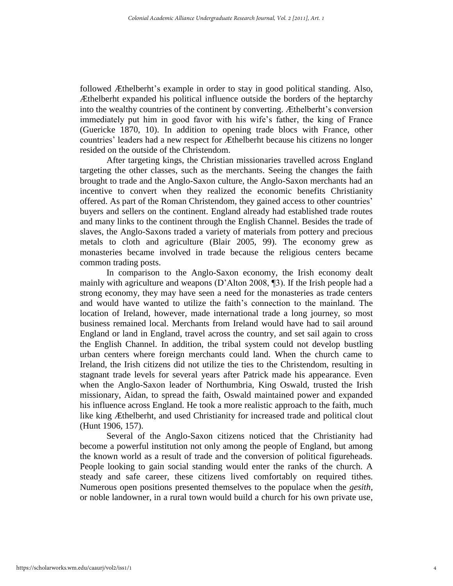followed Æthelberht's example in order to stay in good political standing. Also, Æthelberht expanded his political influence outside the borders of the heptarchy into the wealthy countries of the continent by converting. Æthelberht's conversion immediately put him in good favor with his wife's father, the king of France (Guericke 1870, 10). In addition to opening trade blocs with France, other countries' leaders had a new respect for Æthelberht because his citizens no longer resided on the outside of the Christendom.

After targeting kings, the Christian missionaries travelled across England targeting the other classes, such as the merchants. Seeing the changes the faith brought to trade and the Anglo-Saxon culture, the Anglo-Saxon merchants had an incentive to convert when they realized the economic benefits Christianity offered. As part of the Roman Christendom, they gained access to other countries' buyers and sellers on the continent. England already had established trade routes and many links to the continent through the English Channel. Besides the trade of slaves, the Anglo-Saxons traded a variety of materials from pottery and precious metals to cloth and agriculture (Blair 2005, 99). The economy grew as monasteries became involved in trade because the religious centers became common trading posts.

In comparison to the Anglo-Saxon economy, the Irish economy dealt mainly with agriculture and weapons (D'Alton 2008, ¶3). If the Irish people had a strong economy, they may have seen a need for the monasteries as trade centers and would have wanted to utilize the faith's connection to the mainland. The location of Ireland, however, made international trade a long journey, so most business remained local. Merchants from Ireland would have had to sail around England or land in England, travel across the country, and set sail again to cross the English Channel. In addition, the tribal system could not develop bustling urban centers where foreign merchants could land. When the church came to Ireland, the Irish citizens did not utilize the ties to the Christendom, resulting in stagnant trade levels for several years after Patrick made his appearance. Even when the Anglo-Saxon leader of Northumbria, King Oswald, trusted the Irish missionary, Aidan, to spread the faith, Oswald maintained power and expanded his influence across England. He took a more realistic approach to the faith, much like king Æthelberht, and used Christianity for increased trade and political clout (Hunt 1906, 157).

Several of the Anglo-Saxon citizens noticed that the Christianity had become a powerful institution not only among the people of England, but among the known world as a result of trade and the conversion of political figureheads. People looking to gain social standing would enter the ranks of the church. A steady and safe career, these citizens lived comfortably on required tithes. Numerous open positions presented themselves to the populace when the *gesith*, or noble landowner, in a rural town would build a church for his own private use,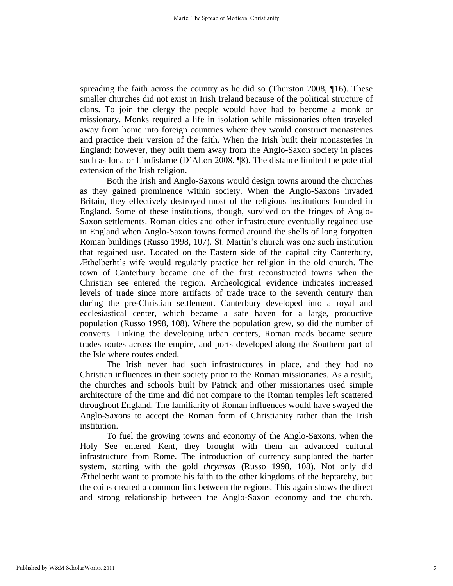spreading the faith across the country as he did so (Thurston 2008, ¶16). These smaller churches did not exist in Irish Ireland because of the political structure of clans. To join the clergy the people would have had to become a monk or missionary. Monks required a life in isolation while missionaries often traveled away from home into foreign countries where they would construct monasteries and practice their version of the faith. When the Irish built their monasteries in England; however, they built them away from the Anglo-Saxon society in places such as Iona or Lindisfarne (D'Alton 2008, ¶8). The distance limited the potential extension of the Irish religion.

Both the Irish and Anglo-Saxons would design towns around the churches as they gained prominence within society. When the Anglo-Saxons invaded Britain, they effectively destroyed most of the religious institutions founded in England. Some of these institutions, though, survived on the fringes of Anglo-Saxon settlements. Roman cities and other infrastructure eventually regained use in England when Anglo-Saxon towns formed around the shells of long forgotten Roman buildings (Russo 1998, 107). St. Martin's church was one such institution that regained use. Located on the Eastern side of the capital city Canterbury, Æthelberht's wife would regularly practice her religion in the old church. The town of Canterbury became one of the first reconstructed towns when the Christian see entered the region. Archeological evidence indicates increased levels of trade since more artifacts of trade trace to the seventh century than during the pre-Christian settlement. Canterbury developed into a royal and ecclesiastical center, which became a safe haven for a large, productive population (Russo 1998, 108). Where the population grew, so did the number of converts. Linking the developing urban centers, Roman roads became secure trades routes across the empire, and ports developed along the Southern part of the Isle where routes ended.

The Irish never had such infrastructures in place, and they had no Christian influences in their society prior to the Roman missionaries. As a result, the churches and schools built by Patrick and other missionaries used simple architecture of the time and did not compare to the Roman temples left scattered throughout England. The familiarity of Roman influences would have swayed the Anglo-Saxons to accept the Roman form of Christianity rather than the Irish institution.

To fuel the growing towns and economy of the Anglo-Saxons, when the Holy See entered Kent, they brought with them an advanced cultural infrastructure from Rome. The introduction of currency supplanted the barter system, starting with the gold *thrymsas* (Russo 1998, 108). Not only did Æthelberht want to promote his faith to the other kingdoms of the heptarchy, but the coins created a common link between the regions. This again shows the direct and strong relationship between the Anglo-Saxon economy and the church.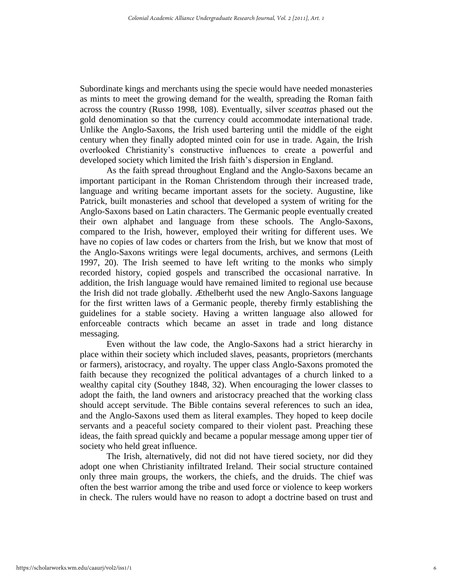Subordinate kings and merchants using the specie would have needed monasteries as mints to meet the growing demand for the wealth, spreading the Roman faith across the country (Russo 1998, 108). Eventually, silver *sceattas* phased out the gold denomination so that the currency could accommodate international trade. Unlike the Anglo-Saxons, the Irish used bartering until the middle of the eight century when they finally adopted minted coin for use in trade. Again, the Irish overlooked Christianity's constructive influences to create a powerful and developed society which limited the Irish faith's dispersion in England.

As the faith spread throughout England and the Anglo-Saxons became an important participant in the Roman Christendom through their increased trade, language and writing became important assets for the society. Augustine, like Patrick, built monasteries and school that developed a system of writing for the Anglo-Saxons based on Latin characters. The Germanic people eventually created their own alphabet and language from these schools. The Anglo-Saxons, compared to the Irish, however, employed their writing for different uses. We have no copies of law codes or charters from the Irish, but we know that most of the Anglo-Saxons writings were legal documents, archives, and sermons (Leith 1997, 20). The Irish seemed to have left writing to the monks who simply recorded history, copied gospels and transcribed the occasional narrative. In addition, the Irish language would have remained limited to regional use because the Irish did not trade globally. Æthelberht used the new Anglo-Saxons language for the first written laws of a Germanic people, thereby firmly establishing the guidelines for a stable society. Having a written language also allowed for enforceable contracts which became an asset in trade and long distance messaging.

Even without the law code, the Anglo-Saxons had a strict hierarchy in place within their society which included slaves, peasants, proprietors (merchants or farmers), aristocracy, and royalty. The upper class Anglo-Saxons promoted the faith because they recognized the political advantages of a church linked to a wealthy capital city (Southey 1848, 32). When encouraging the lower classes to adopt the faith, the land owners and aristocracy preached that the working class should accept servitude. The Bible contains several references to such an idea, and the Anglo-Saxons used them as literal examples. They hoped to keep docile servants and a peaceful society compared to their violent past. Preaching these ideas, the faith spread quickly and became a popular message among upper tier of society who held great influence.

The Irish, alternatively, did not did not have tiered society, nor did they adopt one when Christianity infiltrated Ireland. Their social structure contained only three main groups, the workers, the chiefs, and the druids. The chief was often the best warrior among the tribe and used force or violence to keep workers in check. The rulers would have no reason to adopt a doctrine based on trust and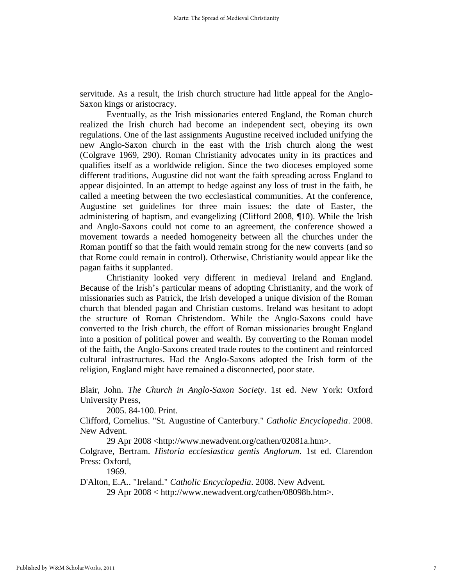servitude. As a result, the Irish church structure had little appeal for the Anglo-Saxon kings or aristocracy.

Eventually, as the Irish missionaries entered England, the Roman church realized the Irish church had become an independent sect, obeying its own regulations. One of the last assignments Augustine received included unifying the new Anglo-Saxon church in the east with the Irish church along the west (Colgrave 1969, 290). Roman Christianity advocates unity in its practices and qualifies itself as a worldwide religion. Since the two dioceses employed some different traditions, Augustine did not want the faith spreading across England to appear disjointed. In an attempt to hedge against any loss of trust in the faith, he called a meeting between the two ecclesiastical communities. At the conference, Augustine set guidelines for three main issues: the date of Easter, the administering of baptism, and evangelizing (Clifford 2008, ¶10). While the Irish and Anglo-Saxons could not come to an agreement, the conference showed a movement towards a needed homogeneity between all the churches under the Roman pontiff so that the faith would remain strong for the new converts (and so that Rome could remain in control). Otherwise, Christianity would appear like the pagan faiths it supplanted.

Christianity looked very different in medieval Ireland and England. Because of the Irish's particular means of adopting Christianity, and the work of missionaries such as Patrick, the Irish developed a unique division of the Roman church that blended pagan and Christian customs. Ireland was hesitant to adopt the structure of Roman Christendom. While the Anglo-Saxons could have converted to the Irish church, the effort of Roman missionaries brought England into a position of political power and wealth. By converting to the Roman model of the faith, the Anglo-Saxons created trade routes to the continent and reinforced cultural infrastructures. Had the Anglo-Saxons adopted the Irish form of the religion, England might have remained a disconnected, poor state.

Blair, John. *The Church in Anglo-Saxon Society*. 1st ed. New York: Oxford University Press,

2005. 84-100. Print.

Clifford, Cornelius. "St. Augustine of Canterbury." *Catholic Encyclopedia*. 2008. New Advent.

29 Apr 2008 <http://www.newadvent.org/cathen/02081a.htm>.

Colgrave, Bertram. *Historia ecclesiastica gentis Anglorum*. 1st ed. Clarendon Press: Oxford,

1969.

D'Alton, E.A.. "Ireland." *Catholic Encyclopedia*. 2008. New Advent.

29 Apr 2008 < http://www.newadvent.org/cathen/08098b.htm>.